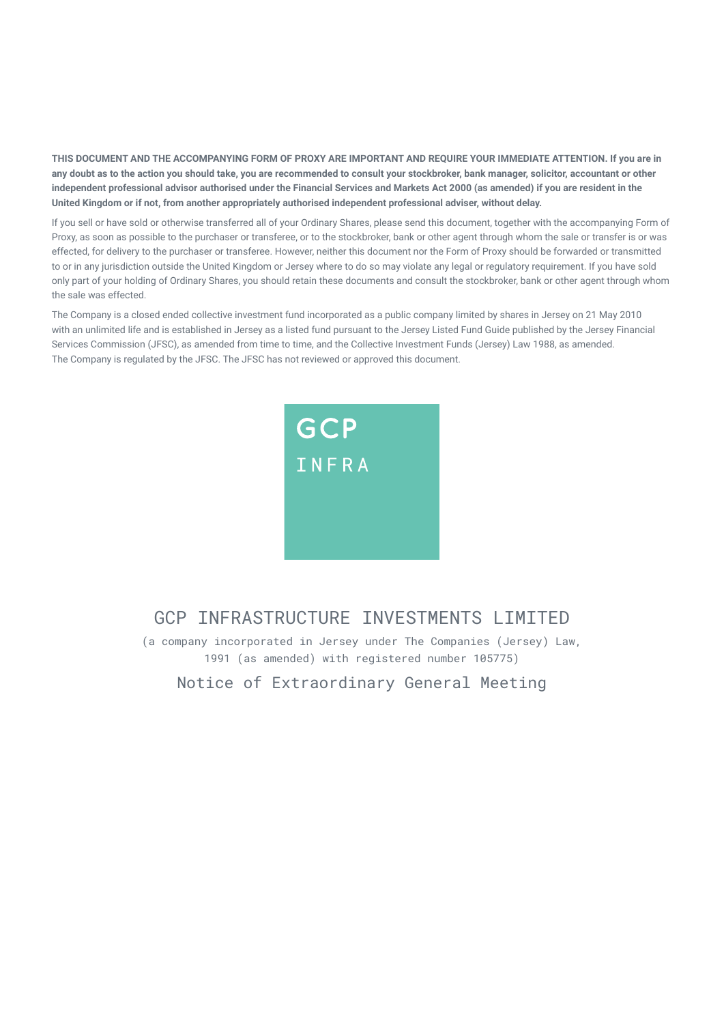**THIS DOCUMENT AND THE ACCOMPANYING FORM OF PROXY ARE IMPORTANT AND REQUIRE YOUR IMMEDIATE ATTENTION. If you are in any doubt as to the action you should take, you are recommended to consult your stockbroker, bank manager, solicitor, accountant or other independent professional advisor authorised under the Financial Services and Markets Act 2000 (as amended) if you are resident in the United Kingdom or if not, from another appropriately authorised independent professional adviser, without delay.** 

If you sell or have sold or otherwise transferred all of your Ordinary Shares, please send this document, together with the accompanying Form of Proxy, as soon as possible to the purchaser or transferee, or to the stockbroker, bank or other agent through whom the sale or transfer is or was effected, for delivery to the purchaser or transferee. However, neither this document nor the Form of Proxy should be forwarded or transmitted to or in any jurisdiction outside the United Kingdom or Jersey where to do so may violate any legal or regulatory requirement. If you have sold only part of your holding of Ordinary Shares, you should retain these documents and consult the stockbroker, bank or other agent through whom the sale was effected.

The Company is a closed ended collective investment fund incorporated as a public company limited by shares in Jersey on 21 May 2010 with an unlimited life and is established in Jersey as a listed fund pursuant to the Jersey Listed Fund Guide published by the Jersey Financial Services Commission (JFSC), as amended from time to time, and the Collective Investment Funds (Jersey) Law 1988, as amended. The Company is regulated by the JFSC. The JFSC has not reviewed or approved this document.



## GCP INFRASTRUCTURE INVESTMENTS LIMITED

(a company incorporated in Jersey under The Companies (Jersey) Law, 1991 (as amended) with registered number 105775)

Notice of Extraordinary General Meeting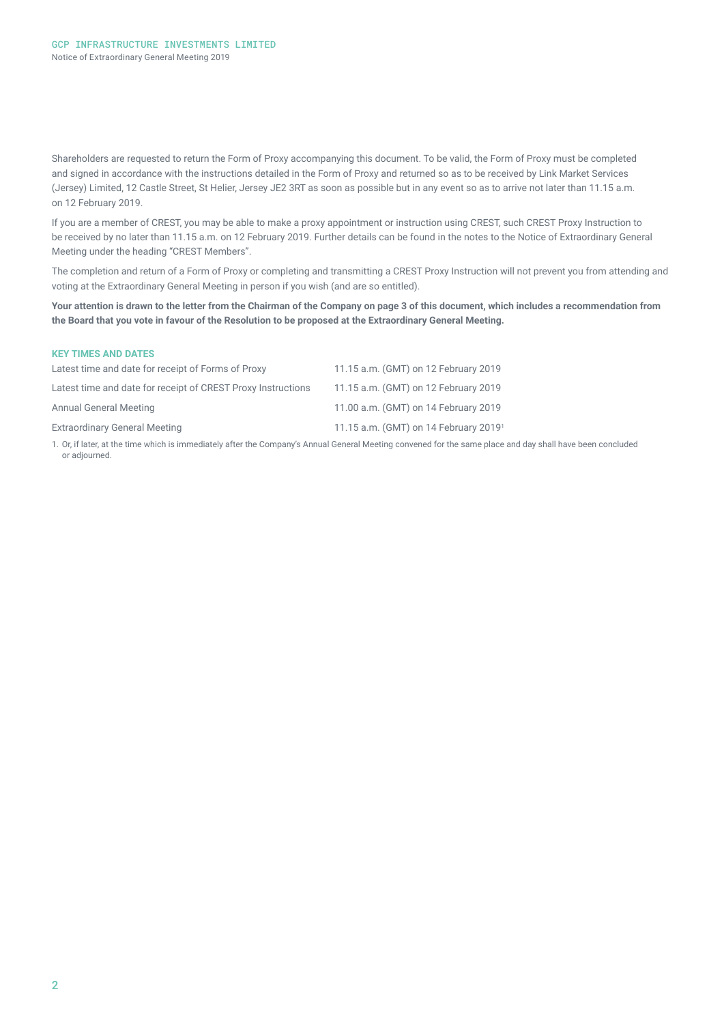Shareholders are requested to return the Form of Proxy accompanying this document. To be valid, the Form of Proxy must be completed and signed in accordance with the instructions detailed in the Form of Proxy and returned so as to be received by Link Market Services (Jersey) Limited, 12 Castle Street, St Helier, Jersey JE2 3RT as soon as possible but in any event so as to arrive not later than 11.15 a.m. on 12 February 2019.

If you are a member of CREST, you may be able to make a proxy appointment or instruction using CREST, such CREST Proxy Instruction to be received by no later than 11.15 a.m. on 12 February 2019. Further details can be found in the notes to the Notice of Extraordinary General Meeting under the heading "CREST Members".

The completion and return of a Form of Proxy or completing and transmitting a CREST Proxy Instruction will not prevent you from attending and voting at the Extraordinary General Meeting in person if you wish (and are so entitled).

**Your attention is drawn to the letter from the Chairman of the Company on page 3 of this document, which includes a recommendation from the Board that you vote in favour of the Resolution to be proposed at the Extraordinary General Meeting.** 

| <b>KEY TIMES AND DATES</b>                                   |                                                                                                                                                          |
|--------------------------------------------------------------|----------------------------------------------------------------------------------------------------------------------------------------------------------|
| Latest time and date for receipt of Forms of Proxy           | 11.15 a.m. (GMT) on 12 February 2019                                                                                                                     |
| Latest time and date for receipt of CREST Proxy Instructions | 11.15 a.m. (GMT) on 12 February 2019                                                                                                                     |
| <b>Annual General Meeting</b>                                | 11.00 a.m. (GMT) on 14 February 2019                                                                                                                     |
| <b>Extraordinary General Meeting</b>                         | 11.15 a.m. (GMT) on 14 February 2019 <sup>1</sup>                                                                                                        |
|                                                              | 1. Or if later at the time which is immediately after the Company's Annual General Meeting convened for the same place and day shall have been concluded |

1. Or, if later, at the time which is immediately after the Company's Annual General Meeting convened for the same place and day shall have been concluded or adjourned.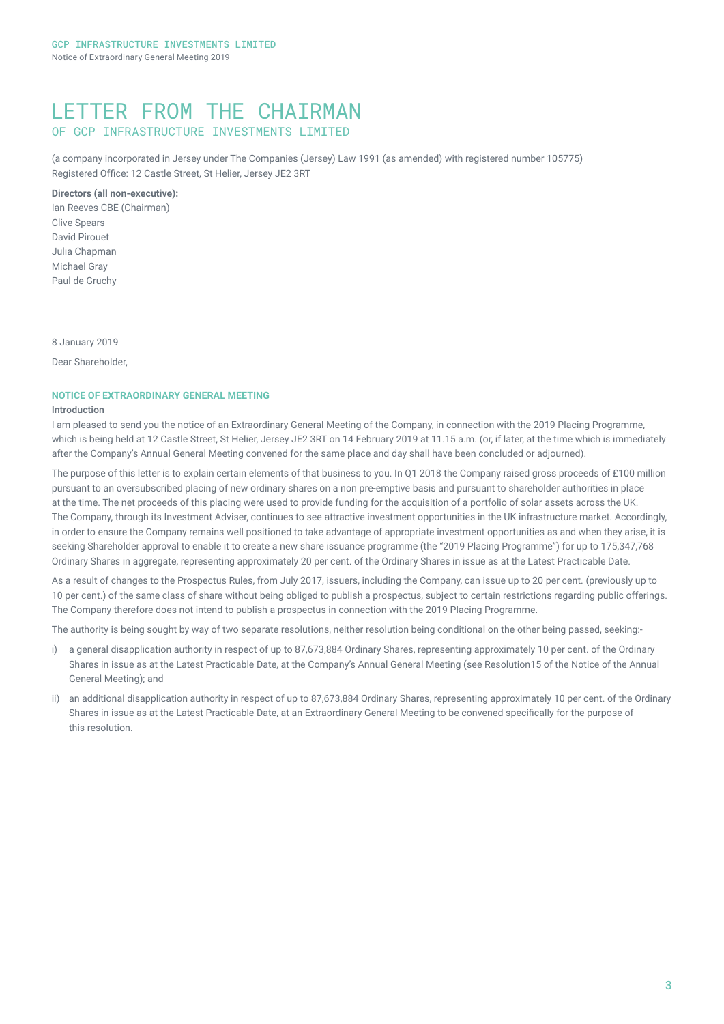## LETTER FROM THE CHAIRMAN OF GCP INFRASTRUCTURE INVESTMENTS LIMITED

(a company incorporated in Jersey under The Companies (Jersey) Law 1991 (as amended) with registered number 105775) Registered Office: 12 Castle Street, St Helier, Jersey JE2 3RT

### **Directors (all non-executive):**

Ian Reeves CBE (Chairman) Clive Spears David Pirouet Julia Chapman Michael Gray Paul de Gruchy

8 January 2019

Dear Shareholder,

### **NOTICE OF EXTRAORDINARY GENERAL MEETING**

#### Introduction

I am pleased to send you the notice of an Extraordinary General Meeting of the Company, in connection with the 2019 Placing Programme, which is being held at 12 Castle Street, St Helier, Jersey JE2 3RT on 14 February 2019 at 11.15 a.m. (or, if later, at the time which is immediately after the Company's Annual General Meeting convened for the same place and day shall have been concluded or adjourned).

The purpose of this letter is to explain certain elements of that business to you. In Q1 2018 the Company raised gross proceeds of £100 million pursuant to an oversubscribed placing of new ordinary shares on a non pre-emptive basis and pursuant to shareholder authorities in place at the time. The net proceeds of this placing were used to provide funding for the acquisition of a portfolio of solar assets across the UK. The Company, through its Investment Adviser, continues to see attractive investment opportunities in the UK infrastructure market. Accordingly, in order to ensure the Company remains well positioned to take advantage of appropriate investment opportunities as and when they arise, it is seeking Shareholder approval to enable it to create a new share issuance programme (the "2019 Placing Programme") for up to 175,347,768 Ordinary Shares in aggregate, representing approximately 20 per cent. of the Ordinary Shares in issue as at the Latest Practicable Date.

As a result of changes to the Prospectus Rules, from July 2017, issuers, including the Company, can issue up to 20 per cent. (previously up to 10 per cent.) of the same class of share without being obliged to publish a prospectus, subject to certain restrictions regarding public offerings. The Company therefore does not intend to publish a prospectus in connection with the 2019 Placing Programme.

The authority is being sought by way of two separate resolutions, neither resolution being conditional on the other being passed, seeking:-

- i) a general disapplication authority in respect of up to 87,673,884 Ordinary Shares, representing approximately 10 per cent. of the Ordinary Shares in issue as at the Latest Practicable Date, at the Company's Annual General Meeting (see Resolution15 of the Notice of the Annual General Meeting); and
- ii) an additional disapplication authority in respect of up to 87,673,884 Ordinary Shares, representing approximately 10 per cent. of the Ordinary Shares in issue as at the Latest Practicable Date, at an Extraordinary General Meeting to be convened specifically for the purpose of this resolution.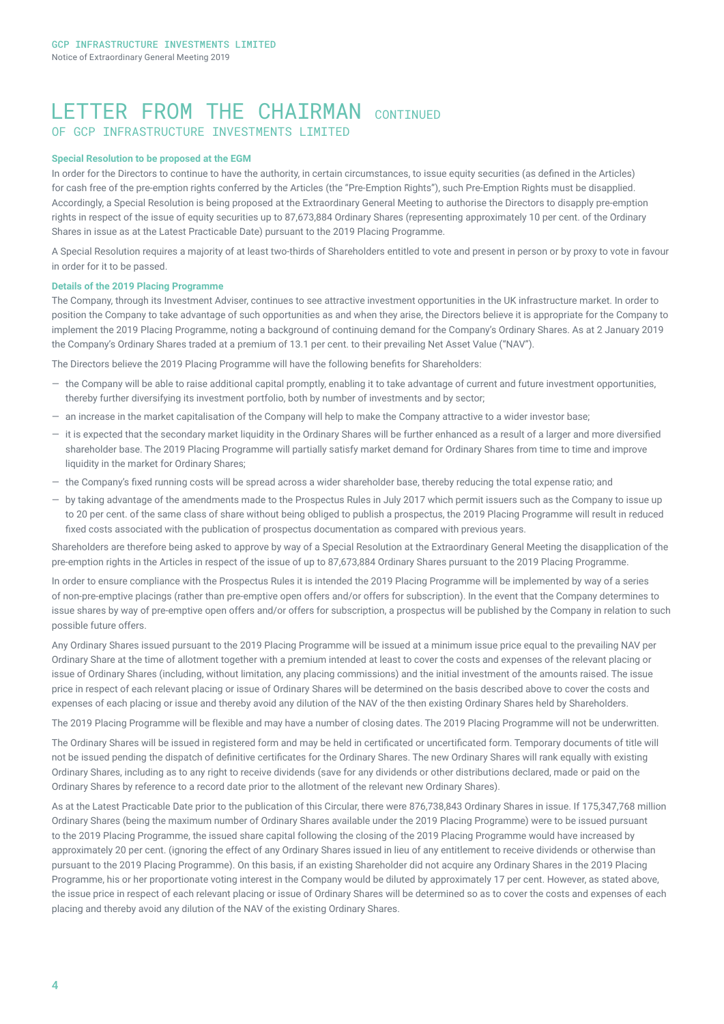## LETTER FROM THE CHAIRMAN CONTINUED OF GCP INFRASTRUCTURE INVESTMENTS LIMITED

#### **Special Resolution to be proposed at the EGM**

In order for the Directors to continue to have the authority, in certain circumstances, to issue equity securities (as defined in the Articles) for cash free of the pre-emption rights conferred by the Articles (the "Pre-Emption Rights"), such Pre-Emption Rights must be disapplied. Accordingly, a Special Resolution is being proposed at the Extraordinary General Meeting to authorise the Directors to disapply pre-emption rights in respect of the issue of equity securities up to 87,673,884 Ordinary Shares (representing approximately 10 per cent. of the Ordinary Shares in issue as at the Latest Practicable Date) pursuant to the 2019 Placing Programme.

A Special Resolution requires a majority of at least two-thirds of Shareholders entitled to vote and present in person or by proxy to vote in favour in order for it to be passed.

#### **Details of the 2019 Placing Programme**

The Company, through its Investment Adviser, continues to see attractive investment opportunities in the UK infrastructure market. In order to position the Company to take advantage of such opportunities as and when they arise, the Directors believe it is appropriate for the Company to implement the 2019 Placing Programme, noting a background of continuing demand for the Company's Ordinary Shares. As at 2 January 2019 the Company's Ordinary Shares traded at a premium of 13.1 per cent. to their prevailing Net Asset Value ("NAV").

The Directors believe the 2019 Placing Programme will have the following benefits for Shareholders:

- ― the Company will be able to raise additional capital promptly, enabling it to take advantage of current and future investment opportunities, thereby further diversifying its investment portfolio, both by number of investments and by sector;
- ― an increase in the market capitalisation of the Company will help to make the Company attractive to a wider investor base;
- ― it is expected that the secondary market liquidity in the Ordinary Shares will be further enhanced as a result of a larger and more diversified shareholder base. The 2019 Placing Programme will partially satisfy market demand for Ordinary Shares from time to time and improve liquidity in the market for Ordinary Shares;
- ― the Company's fixed running costs will be spread across a wider shareholder base, thereby reducing the total expense ratio; and
- ― by taking advantage of the amendments made to the Prospectus Rules in July 2017 which permit issuers such as the Company to issue up to 20 per cent. of the same class of share without being obliged to publish a prospectus, the 2019 Placing Programme will result in reduced fixed costs associated with the publication of prospectus documentation as compared with previous years.

Shareholders are therefore being asked to approve by way of a Special Resolution at the Extraordinary General Meeting the disapplication of the pre-emption rights in the Articles in respect of the issue of up to 87,673,884 Ordinary Shares pursuant to the 2019 Placing Programme.

In order to ensure compliance with the Prospectus Rules it is intended the 2019 Placing Programme will be implemented by way of a series of non-pre-emptive placings (rather than pre-emptive open offers and/or offers for subscription). In the event that the Company determines to issue shares by way of pre-emptive open offers and/or offers for subscription, a prospectus will be published by the Company in relation to such possible future offers.

Any Ordinary Shares issued pursuant to the 2019 Placing Programme will be issued at a minimum issue price equal to the prevailing NAV per Ordinary Share at the time of allotment together with a premium intended at least to cover the costs and expenses of the relevant placing or issue of Ordinary Shares (including, without limitation, any placing commissions) and the initial investment of the amounts raised. The issue price in respect of each relevant placing or issue of Ordinary Shares will be determined on the basis described above to cover the costs and expenses of each placing or issue and thereby avoid any dilution of the NAV of the then existing Ordinary Shares held by Shareholders.

The 2019 Placing Programme will be flexible and may have a number of closing dates. The 2019 Placing Programme will not be underwritten.

The Ordinary Shares will be issued in registered form and may be held in certificated or uncertificated form. Temporary documents of title will not be issued pending the dispatch of definitive certificates for the Ordinary Shares. The new Ordinary Shares will rank equally with existing Ordinary Shares, including as to any right to receive dividends (save for any dividends or other distributions declared, made or paid on the Ordinary Shares by reference to a record date prior to the allotment of the relevant new Ordinary Shares).

As at the Latest Practicable Date prior to the publication of this Circular, there were 876,738,843 Ordinary Shares in issue. If 175,347,768 million Ordinary Shares (being the maximum number of Ordinary Shares available under the 2019 Placing Programme) were to be issued pursuant to the 2019 Placing Programme, the issued share capital following the closing of the 2019 Placing Programme would have increased by approximately 20 per cent. (ignoring the effect of any Ordinary Shares issued in lieu of any entitlement to receive dividends or otherwise than pursuant to the 2019 Placing Programme). On this basis, if an existing Shareholder did not acquire any Ordinary Shares in the 2019 Placing Programme, his or her proportionate voting interest in the Company would be diluted by approximately 17 per cent. However, as stated above, the issue price in respect of each relevant placing or issue of Ordinary Shares will be determined so as to cover the costs and expenses of each placing and thereby avoid any dilution of the NAV of the existing Ordinary Shares.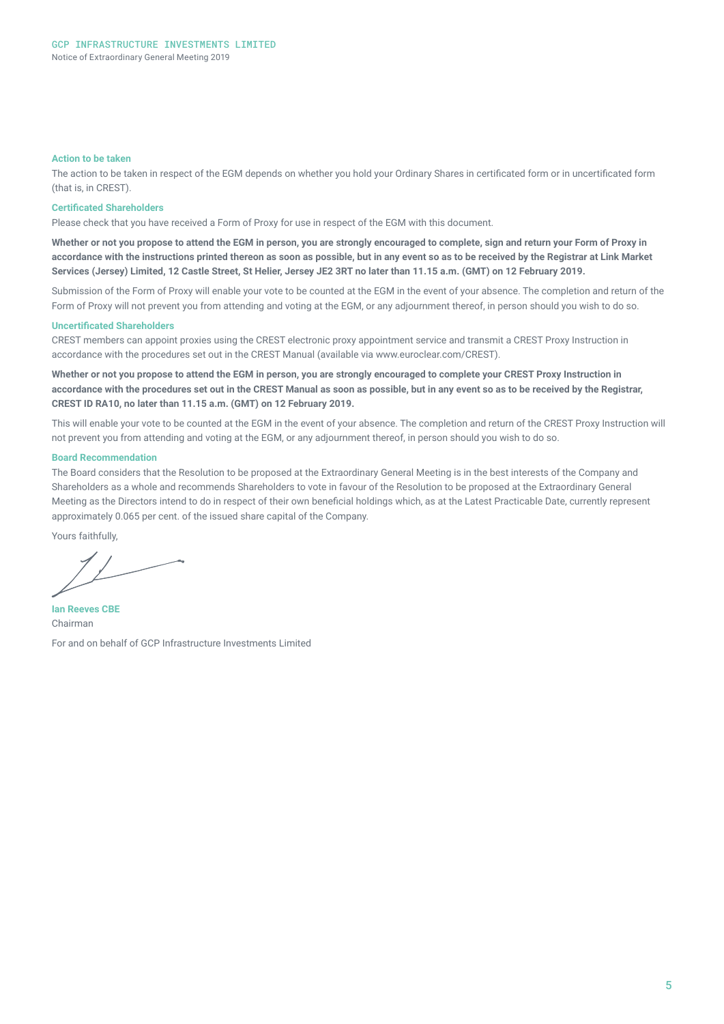#### **Action to be taken**

The action to be taken in respect of the EGM depends on whether you hold your Ordinary Shares in certificated form or in uncertificated form (that is, in CREST).

#### **Certificated Shareholders**

Please check that you have received a Form of Proxy for use in respect of the EGM with this document.

**Whether or not you propose to attend the EGM in person, you are strongly encouraged to complete, sign and return your Form of Proxy in accordance with the instructions printed thereon as soon as possible, but in any event so as to be received by the Registrar at Link Market Services (Jersey) Limited, 12 Castle Street, St Helier, Jersey JE2 3RT no later than 11.15 a.m. (GMT) on 12 February 2019.**

Submission of the Form of Proxy will enable your vote to be counted at the EGM in the event of your absence. The completion and return of the Form of Proxy will not prevent you from attending and voting at the EGM, or any adjournment thereof, in person should you wish to do so.

#### **Uncertificated Shareholders**

CREST members can appoint proxies using the CREST electronic proxy appointment service and transmit a CREST Proxy Instruction in accordance with the procedures set out in the CREST Manual (available via www.euroclear.com/CREST).

**Whether or not you propose to attend the EGM in person, you are strongly encouraged to complete your CREST Proxy Instruction in accordance with the procedures set out in the CREST Manual as soon as possible, but in any event so as to be received by the Registrar, CREST ID RA10, no later than 11.15 a.m. (GMT) on 12 February 2019.**

This will enable your vote to be counted at the EGM in the event of your absence. The completion and return of the CREST Proxy Instruction will not prevent you from attending and voting at the EGM, or any adjournment thereof, in person should you wish to do so.

#### **Board Recommendation**

The Board considers that the Resolution to be proposed at the Extraordinary General Meeting is in the best interests of the Company and Shareholders as a whole and recommends Shareholders to vote in favour of the Resolution to be proposed at the Extraordinary General Meeting as the Directors intend to do in respect of their own beneficial holdings which, as at the Latest Practicable Date, currently represent approximately 0.065 per cent. of the issued share capital of the Company.

Yours faithfully,

**Ian Reeves CBE**  Chairman

For and on behalf of GCP Infrastructure Investments Limited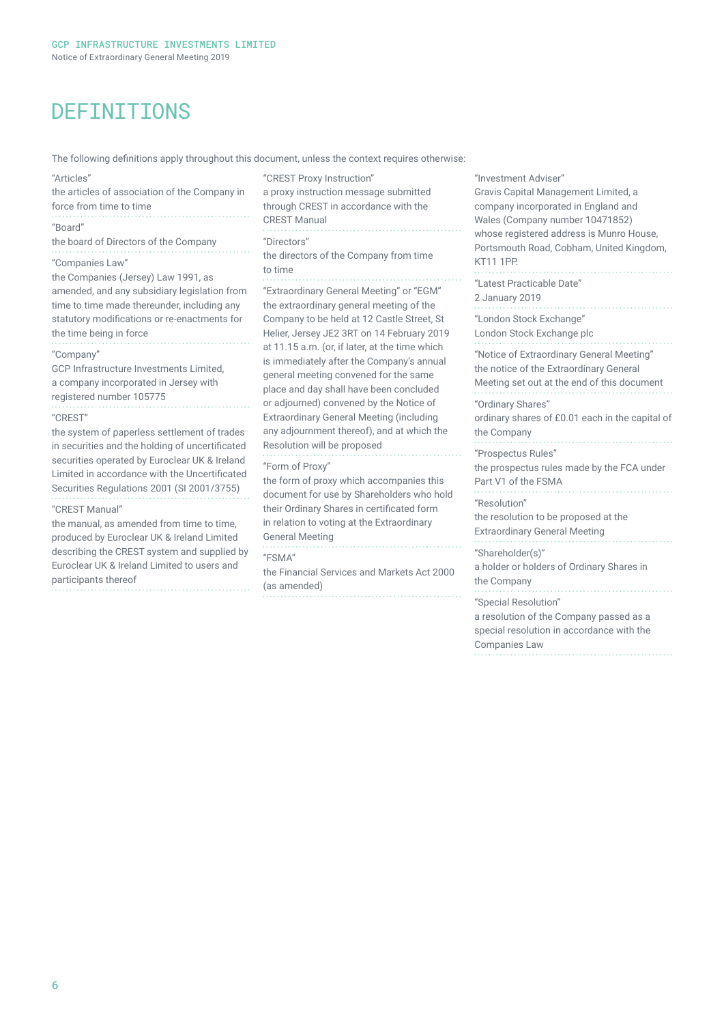## DEFINITIONS

The following definitions apply throughout this document, unless the context requires otherwise:

| "Articles"<br>the articles of association of the Company in<br>force from time to time                                                                                                                                                                                                                                                                                                                                                                                                                                                                                                                                                                                                                                                                                                                                                                                                                             | "CREST Proxy Instruction"<br>a proxy instruction message submitted<br>through CREST in accordance with the<br><b>CREST Manual</b><br>"Directors"<br>the directors of the Company from time<br>to time                                                                                                                                                                                                                                                                                                                                                                                                                                                                                                                                                                                                                                                     | "Investment Adviser"<br><b>Gravis Capital Manad</b><br>company incorporate<br>Wales (Company nur                                                                                                        |
|--------------------------------------------------------------------------------------------------------------------------------------------------------------------------------------------------------------------------------------------------------------------------------------------------------------------------------------------------------------------------------------------------------------------------------------------------------------------------------------------------------------------------------------------------------------------------------------------------------------------------------------------------------------------------------------------------------------------------------------------------------------------------------------------------------------------------------------------------------------------------------------------------------------------|-----------------------------------------------------------------------------------------------------------------------------------------------------------------------------------------------------------------------------------------------------------------------------------------------------------------------------------------------------------------------------------------------------------------------------------------------------------------------------------------------------------------------------------------------------------------------------------------------------------------------------------------------------------------------------------------------------------------------------------------------------------------------------------------------------------------------------------------------------------|---------------------------------------------------------------------------------------------------------------------------------------------------------------------------------------------------------|
| "Board"<br>the board of Directors of the Company<br>"Companies Law"<br>the Companies (Jersey) Law 1991, as<br>amended, and any subsidiary legislation from<br>time to time made thereunder, including any<br>statutory modifications or re-enactments for<br>the time being in force<br>"Company"<br>GCP Infrastructure Investments Limited,<br>a company incorporated in Jersey with<br>registered number 105775<br>"CREST"<br>the system of paperless settlement of trades<br>in securities and the holding of uncertificated<br>securities operated by Euroclear UK & Ireland<br>Limited in accordance with the Uncertificated<br>Securities Regulations 2001 (SI 2001/3755)<br>"CREST Manual"<br>the manual, as amended from time to time,<br>produced by Euroclear UK & Ireland Limited<br>describing the CREST system and supplied by<br>Euroclear UK & Ireland Limited to users and<br>participants thereof |                                                                                                                                                                                                                                                                                                                                                                                                                                                                                                                                                                                                                                                                                                                                                                                                                                                           | whose registered add<br>Portsmouth Road, Co<br>KT11 1PP.                                                                                                                                                |
|                                                                                                                                                                                                                                                                                                                                                                                                                                                                                                                                                                                                                                                                                                                                                                                                                                                                                                                    | "Extraordinary General Meeting" or "EGM"<br>the extraordinary general meeting of the<br>Company to be held at 12 Castle Street, St<br>Helier, Jersey JE2 3RT on 14 February 2019<br>at 11.15 a.m. (or, if later, at the time which<br>is immediately after the Company's annual<br>general meeting convened for the same<br>place and day shall have been concluded<br>or adjourned) convened by the Notice of<br><b>Extraordinary General Meeting (including</b><br>any adjournment thereof), and at which the<br>Resolution will be proposed<br>"Form of Proxy"<br>the form of proxy which accompanies this<br>document for use by Shareholders who hold<br>their Ordinary Shares in certificated form<br>in relation to voting at the Extraordinary<br><b>General Meeting</b><br>"FSMA"<br>the Financial Services and Markets Act 2000<br>(as amended) | "Latest Practicable D<br>2 January 2019                                                                                                                                                                 |
|                                                                                                                                                                                                                                                                                                                                                                                                                                                                                                                                                                                                                                                                                                                                                                                                                                                                                                                    |                                                                                                                                                                                                                                                                                                                                                                                                                                                                                                                                                                                                                                                                                                                                                                                                                                                           | "London Stock Excha<br>London Stock Exchar<br>"Notice of Extraordin<br>the notice of the Extr<br>Meeting set out at th                                                                                  |
|                                                                                                                                                                                                                                                                                                                                                                                                                                                                                                                                                                                                                                                                                                                                                                                                                                                                                                                    |                                                                                                                                                                                                                                                                                                                                                                                                                                                                                                                                                                                                                                                                                                                                                                                                                                                           | "Ordinary Shares"<br>ordinary shares of £0<br>the Company<br>"Prospectus Rules"<br>the prospectus rules<br>Part V1 of the FSMA<br>"Resolution"<br>the resolution to be p<br><b>Extraordinary Genera</b> |
|                                                                                                                                                                                                                                                                                                                                                                                                                                                                                                                                                                                                                                                                                                                                                                                                                                                                                                                    |                                                                                                                                                                                                                                                                                                                                                                                                                                                                                                                                                                                                                                                                                                                                                                                                                                                           | "Shareholder(s)"<br>a holder or holders of<br>the Company                                                                                                                                               |
|                                                                                                                                                                                                                                                                                                                                                                                                                                                                                                                                                                                                                                                                                                                                                                                                                                                                                                                    |                                                                                                                                                                                                                                                                                                                                                                                                                                                                                                                                                                                                                                                                                                                                                                                                                                                           | "Special Resolution"                                                                                                                                                                                    |

s Capital Management Limited, a any incorporated in England and s (Company number 10471852) e registered address is Munro House, mouth Road, Cobham, United Kingdom, 1PP. st Practicable Date" uary 2019 lon Stock Exchange" on Stock Exchange plc e of Extraordinary General Meeting" otice of the Extraordinary General ing set out at the end of this document nary Shares" ary shares of £0.01 each in the capital of ompany pectus Rules" rospectus rules made by the FCA under /1 of the FSMA lution" solution to be proposed at the ordinary General Meeting . . . . . . . . eholder(s)" der or holders of Ordinary Shares in ompany ial Resolution" a resolution of the Company passed as a special resolution in accordance with the

Companies Law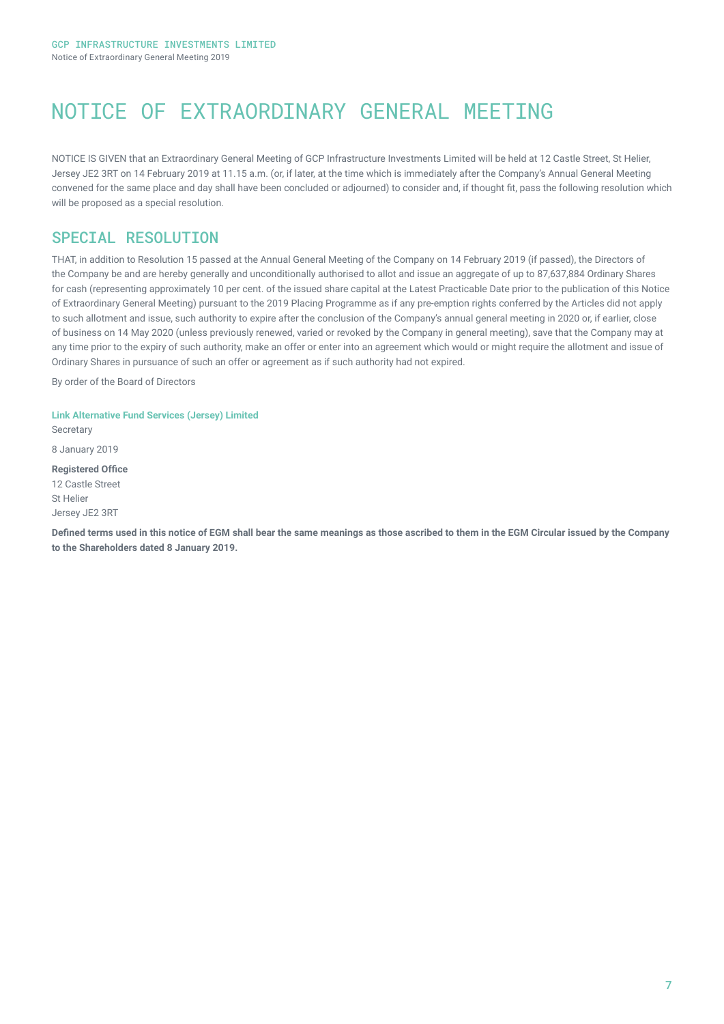# NOTICE OF EXTRAORDINARY GENERAL MEETING

NOTICE IS GIVEN that an Extraordinary General Meeting of GCP Infrastructure Investments Limited will be held at 12 Castle Street, St Helier, Jersey JE2 3RT on 14 February 2019 at 11.15 a.m. (or, if later, at the time which is immediately after the Company's Annual General Meeting convened for the same place and day shall have been concluded or adjourned) to consider and, if thought fit, pass the following resolution which will be proposed as a special resolution.

### SPECIAL RESOLUTION

THAT, in addition to Resolution 15 passed at the Annual General Meeting of the Company on 14 February 2019 (if passed), the Directors of the Company be and are hereby generally and unconditionally authorised to allot and issue an aggregate of up to 87,637,884 Ordinary Shares for cash (representing approximately 10 per cent. of the issued share capital at the Latest Practicable Date prior to the publication of this Notice of Extraordinary General Meeting) pursuant to the 2019 Placing Programme as if any pre-emption rights conferred by the Articles did not apply to such allotment and issue, such authority to expire after the conclusion of the Company's annual general meeting in 2020 or, if earlier, close of business on 14 May 2020 (unless previously renewed, varied or revoked by the Company in general meeting), save that the Company may at any time prior to the expiry of such authority, make an offer or enter into an agreement which would or might require the allotment and issue of Ordinary Shares in pursuance of such an offer or agreement as if such authority had not expired.

By order of the Board of Directors

**Link Alternative Fund Services (Jersey) Limited Secretary** 

8 January 2019

**Registered Office** 12 Castle Street St Helier Jersey JE2 3RT

**Defined terms used in this notice of EGM shall bear the same meanings as those ascribed to them in the EGM Circular issued by the Company to the Shareholders dated 8 January 2019.**